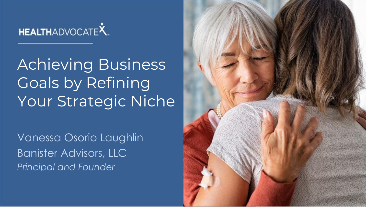

Achieving Business Goals by Refining Your Strategic Niche

Vanessa Osorio Laughlin Banister Advisors, LLC *Principal and Founder*

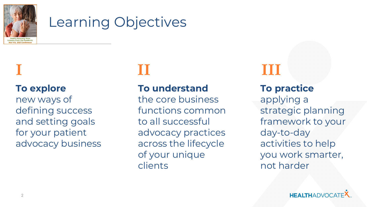

## Learning Objectives

## **I II III**

**To explore**  new ways of defining success and setting goals for your patient advocacy business

### **To understand**

the core business functions common to all successful advocacy practices across the lifecycle of your unique clients

### **To practice**

applying a strategic planning framework to your day-to-day activities to help you work smarter, not harder

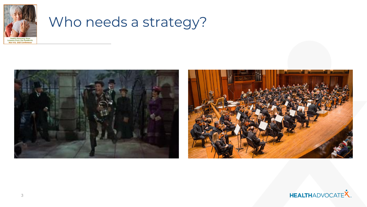

## Who needs a strategy?





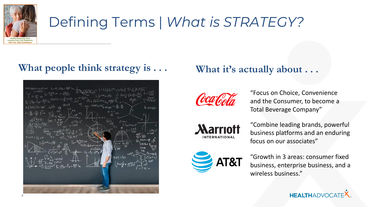

## Defining Terms | *What is STRATEGY?*

### **What people think strategy is . . . What it's actually about . . .**





"Focus on Choice, Convenience and the Consumer, to become a Total Beverage Company"



"Combine leading brands, powerful business platforms and an enduring focus on our associates"



"Growth in 3 areas: consumer fixed business, enterprise business, and a wireless business."

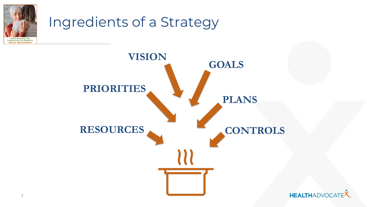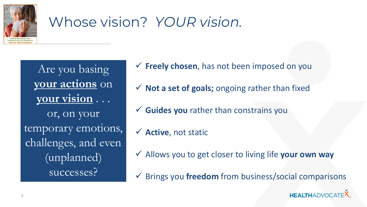

## Whose vision? *YOUR vision.*

Are you basing **your actions** on **your vision** . . . or, on your temporary emotions, challenges, and even (unplanned) successes?

- ✓ **Freely chosen**, has not been imposed on you
- ✓ **Not a set of goals;** ongoing rather than fixed
- ✓ **Guides you** rather than constrains you
- ✓ **Active**, not static
- ✓ Allows you to get closer to living life **your own way**
- ✓ Brings you **freedom** from business/social comparisons

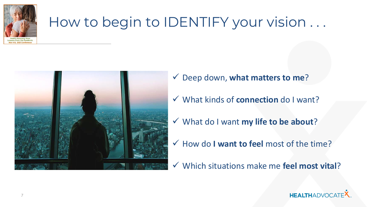

## How to begin to IDENTIFY your vision ...



- ✓ Deep down, **what matters to me**?
- ✓ What kinds of **connection** do I want?
- ✓ What do I want **my life to be about**?
- ✓ How do **I want to feel** most of the time?
- ✓ Which situations make me **feel most vital**?

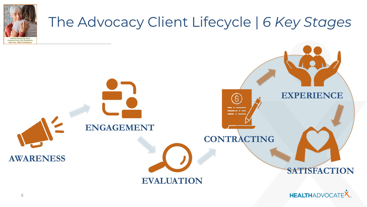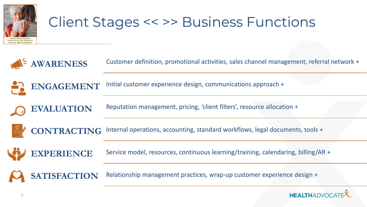

## Client Stages << >> Business Functions

**AWARENESS** Customer definition, promotional activities, sales channel management, referral network +

**ENGAGEMENT** Initial customer experience design, communications approach +

Reputation management, pricing, 'client filters', resource allocation +



**EVALUATION**

**CONTRACTING** Internal operations, accounting, standard workflows, legal documents, tools +



**EXPERIENCE** Service model, resources, continuous learning/training, calendaring, billing/AR +

**SATISFACTION** Relationship management practices, wrap-up customer experience design +

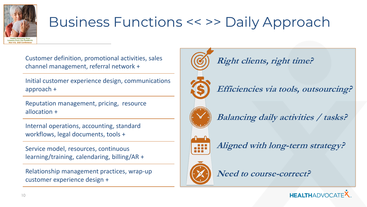

## Business Functions << >> Daily Approach

Customer definition, promotional activities, sales channel management, referral network +

Initial customer experience design, communications approach +

Reputation management, pricing, resource allocation +

Internal operations, accounting, standard workflows, legal documents, tools +

Service model, resources, continuous learning/training, calendaring, billing/AR +

Relationship management practices, wrap-up customer experience design +



**Right clients, right time?**

**Efficiencies via tools, outsourcing?**



**Balancing daily activities / tasks?**

**Aligned with long-term strategy?**



**Need to course-correct?**

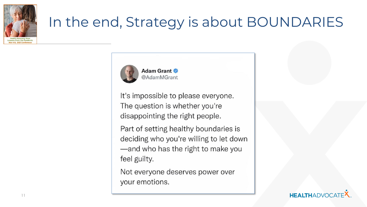

## In the end, Strategy is about BOUNDARIES



It's impossible to please everyone. The question is whether you're disappointing the right people.

Part of setting healthy boundaries is deciding who you're willing to let down -and who has the right to make you feel guilty.

Not everyone deserves power over your emotions.